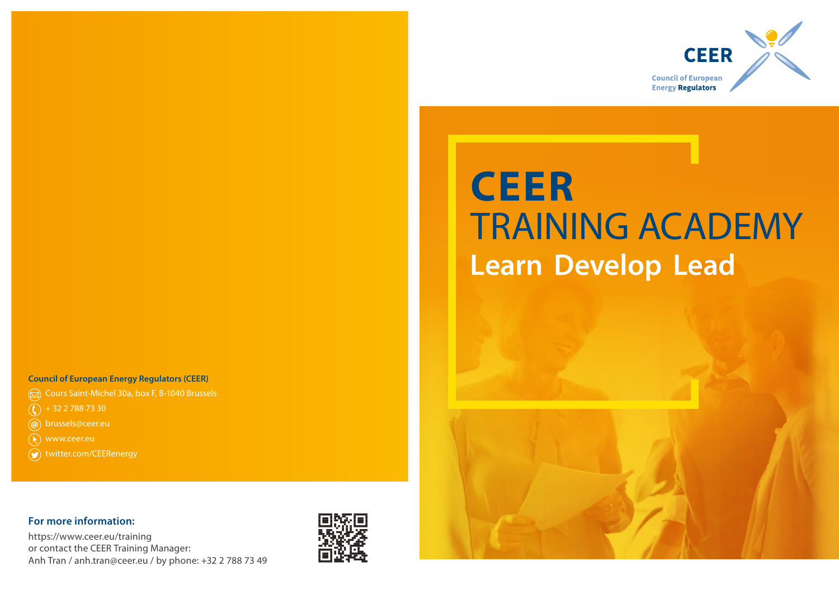

# **CEER**  TRAINING ACADEMY **Learn Develop Lead**

#### **Council of European Energy Regulators (CEER)**

- Cours Saint-Michel 30a, box F, B-1040 Brussels
- $\binom{1}{1}$  + 32 2 788 73 30
- @ brussels@ceer.eu
- www.ceer.eu
- **(●)** twitter.com/CEERenergy

#### **For more information:**

https://www.ceer.eu/training or contact the CEER Training Manager: Anh Tran / anh.tran@ceer.eu / by phone: +32 2 788 73 49



Design by www.generis.be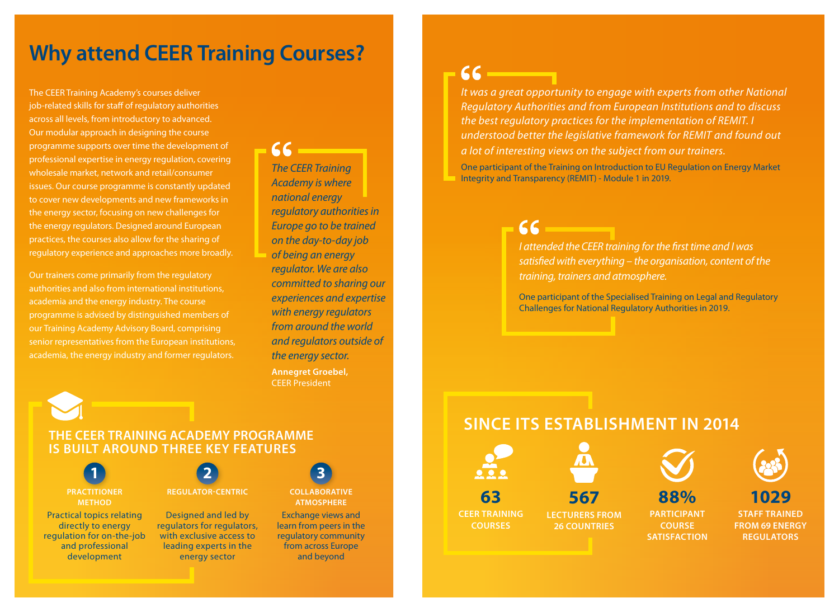### **Why attend CEER Training Courses?**

The CEER Training Academy's courses deliver job-related skills for staff of regulatory authorities across all levels, from introductory to advanced. Our modular approach in designing the course programme supports over time the development of professional expertise in energy regulation, covering wholesale market, network and retail/consumer issues. Our course programme is constantly updated to cover new developments and new frameworks in the energy sector, focusing on new challenges for the energy regulators. Designed around European practices, the courses also allow for the sharing of regulatory experience and approaches more broadly.

Our trainers come primarily from the regulatory authorities and also from international institutions, academia and the energy industry. The course programme is advised by distinguished members of our Training Academy Advisory Board, comprising senior representatives from the European institutions, academia, the energy industry and former regulators.

*The CEER Training Academy is where national energy regulatory authorities in Europe go to be trained on the day-to-day job of being an energy regulator. We are also committed to sharing our experiences and expertise with energy regulators from around the world and regulators outside of the energy sector.* **Annegret Groebel,**  CEER President

 $AC$ 

*It was a great opportunity to engage with experts from other National Regulatory Authorities and from European Institutions and to discuss the best regulatory practices for the implementation of REMIT. I understood better the legislative framework for REMIT and found out a lot of interesting views on the subject from our trainers.*

 $66$ 

One participant of the Training on Introduction to EU Regulation on Energy Market Integrity and Transparency (REMIT) - Module 1 in 2019.

> $AC$ *I attended the CEER training for the first time and I was satisfied with everything – the organisation, content of the training, trainers and atmosphere.*

One participant of the Specialised Training on Legal and Regulatory Challenges for National Regulatory Authorities in 2019.

**THE CEER TRAINING ACADEMY PROGRAMME IS BUILT AROUND THREE KEY FEATURES**

**PRACTITIONER METHOD** Practical topics relating directly to energy regulation for on-the-job and professional development



**REGULATOR-CENTRIC**

Designed and led by regulators for regulators, with exclusive access to leading experts in the energy sector



**COLLABORATIVE ATMOSPHERE**

Exchange views and learn from peers in the regulatory community from across Europe and beyond

### **SINCE ITS ESTABLISHMENT IN 2014**





**COURSE** 



**1029 STAFF TRAINED**